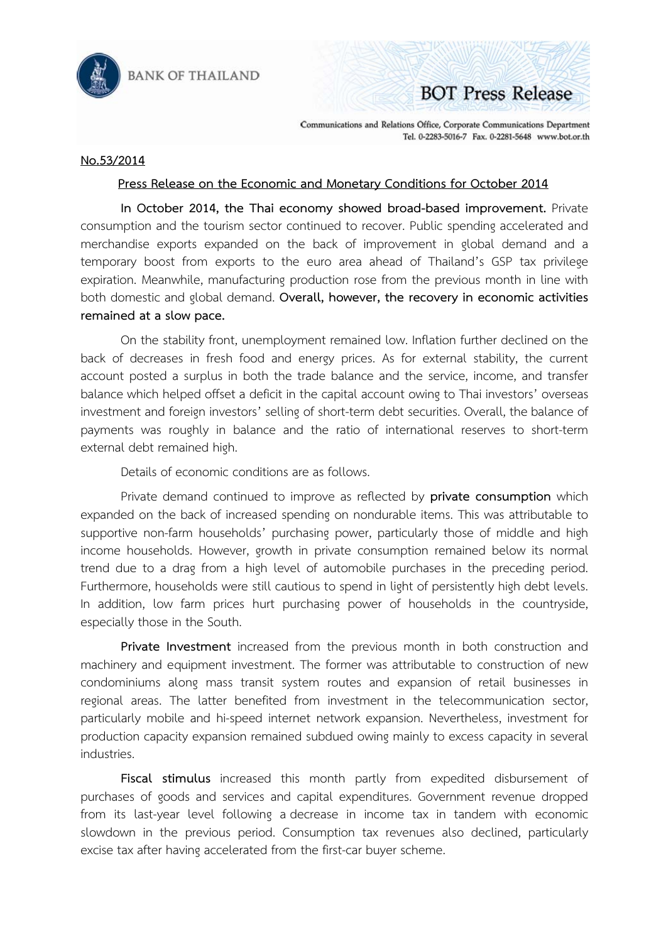

**BANK OF THAILAND** 

## **BOT Press Release**

Communications and Relations Office, Corporate Communications Department Tel. 0-2283-5016-7 Fax. 0-2281-5648 www.bot.or.th

## **No.53/2014**

## **Press Release on the Economic and Monetary Conditions for October 2014**

 **In October 2014, the Thai economy showed broad-based improvement.** Private consumption and the tourism sector continued to recover. Public spending accelerated and merchandise exports expanded on the back of improvement in global demand and a temporary boost from exports to the euro area ahead of Thailand's GSP tax privilege expiration. Meanwhile, manufacturing production rose from the previous month in line with both domestic and global demand. **Overall, however, the recovery in economic activities remained at a slow pace.** 

 On the stability front, unemployment remained low. Inflation further declined on the back of decreases in fresh food and energy prices. As for external stability, the current account posted a surplus in both the trade balance and the service, income, and transfer balance which helped offset a deficit in the capital account owing to Thai investors' overseas investment and foreign investors' selling of short-term debt securities. Overall, the balance of payments was roughly in balance and the ratio of international reserves to short-term external debt remained high.

Details of economic conditions are as follows.

Private demand continued to improve as reflected by **private consumption** which expanded on the back of increased spending on nondurable items. This was attributable to supportive non-farm households' purchasing power, particularly those of middle and high income households. However, growth in private consumption remained below its normal trend due to a drag from a high level of automobile purchases in the preceding period. Furthermore, households were still cautious to spend in light of persistently high debt levels. In addition, low farm prices hurt purchasing power of households in the countryside, especially those in the South.

**Private Investment** increased from the previous month in both construction and machinery and equipment investment. The former was attributable to construction of new condominiums along mass transit system routes and expansion of retail businesses in regional areas. The latter benefited from investment in the telecommunication sector, particularly mobile and hi-speed internet network expansion. Nevertheless, investment for production capacity expansion remained subdued owing mainly to excess capacity in several industries.

**Fiscal stimulus** increased this month partly from expedited disbursement of purchases of goods and services and capital expenditures. Government revenue dropped from its last-year level following a decrease in income tax in tandem with economic slowdown in the previous period. Consumption tax revenues also declined, particularly excise tax after having accelerated from the first-car buyer scheme.